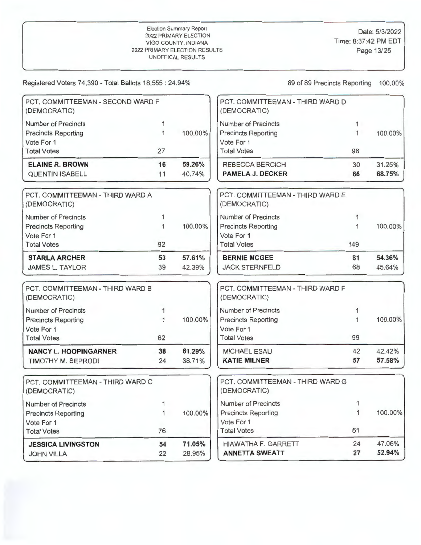| PCT, COMMITTEEMAN - SECOND WARD F<br>(DEMOCRATIC) |              |         | PCT. COMMITTEEMAN - THIRD WARD D<br>(DEMOCRATIC) |              |         |
|---------------------------------------------------|--------------|---------|--------------------------------------------------|--------------|---------|
| <b>Number of Precincts</b>                        | 1            |         | <b>Number of Precincts</b>                       | $\mathbf{1}$ |         |
| <b>Precincts Reporting</b>                        | $\mathbf{1}$ | 100.00% | <b>Precincts Reporting</b>                       | 1            | 100.00% |
| Vote For 1                                        |              |         | Vote For 1                                       |              |         |
| <b>Total Votes</b>                                | 27           |         | <b>Total Votes</b>                               | 96           |         |
| <b>ELAINE R. BROWN</b>                            | 16           | 59.26%  | REBECCA BERCICH                                  | 30           | 31.25%  |
| <b>QUENTIN ISABELL</b>                            | 11           | 40.74%  | <b>PAMELA J. DECKER</b>                          | 66           | 68.75%  |
| PCT. COMMITTEEMAN - THIRD WARD A<br>(DEMOCRATIC)  |              |         | PCT. COMMITTEEMAN - THIRD WARD E<br>(DEMOCRATIC) |              |         |
| <b>Number of Precincts</b>                        | 1            |         | <b>Number of Precincts</b>                       | 1            |         |
| <b>Precincts Reporting</b>                        | 1            | 100.00% | <b>Precincts Reporting</b>                       | 1            | 100.00% |
| Vote For 1                                        |              |         | Vote For 1                                       |              |         |
| <b>Total Votes</b>                                | 92           |         | <b>Total Votes</b>                               | 149          |         |
| <b>STARLA ARCHER</b>                              | 53           | 57.61%  | <b>BERNIE MCGEE</b>                              | 81           | 54.36%  |
| <b>JAMES L. TAYLOR</b>                            | 39           | 42.39%  | <b>JACK STERNFELD</b>                            | 68           | 45.64%  |
| PCT. COMMITTEEMAN - THIRD WARD B<br>(DEMOCRATIC)  |              |         | PCT. COMMITTEEMAN - THIRD WARD F<br>(DEMOCRATIC) |              |         |
| <b>Number of Precincts</b>                        |              |         | <b>Number of Precincts</b>                       | 1            |         |
| <b>Precincts Reporting</b>                        |              | 100.00% | <b>Precincts Reporting</b>                       | 1            | 100.00% |
| Vote For 1                                        |              |         | Vote For 1                                       |              |         |
| <b>Total Votes</b>                                | 62           |         | <b>Total Votes</b>                               | 99           |         |
| <b>NANCY L. HOOPINGARNER</b>                      | 38           | 61.29%  | <b>MICHAEL ESAU</b>                              | 42           | 42.42%  |
| <b>TIMOTHY M. SEPRODI</b>                         | 24           | 38.71%  | <b>KATIE MILNER</b>                              | 57           | 57.58%  |
| PCT. COMMITTEEMAN - THIRD WARD C<br>(DEMOCRATIC)  |              |         | PCT. COMMITTEEMAN - THIRD WARD G<br>(DEMOCRATIC) |              |         |
| <b>Number of Precincts</b>                        | 1            |         | Number of Precincts                              | 1            |         |
| <b>Precincts Reporting</b>                        | 1            | 100.00% | <b>Precincts Reporting</b>                       | 1            | 100.00% |
| Vote For 1                                        |              |         | Vote For 1                                       |              |         |
| <b>Total Votes</b>                                | 76           |         | <b>Total Votes</b>                               | 51           |         |
| <b>JESSICA LIVINGSTON</b>                         | 54           | 71.05%  | <b>HIAWATHA F. GARRETT</b>                       | 24           | 47.06%  |
| <b>JOHN VILLA</b>                                 | 22           | 28.95%  | <b>ANNETTA SWEATT</b>                            | 27           | 52.94%  |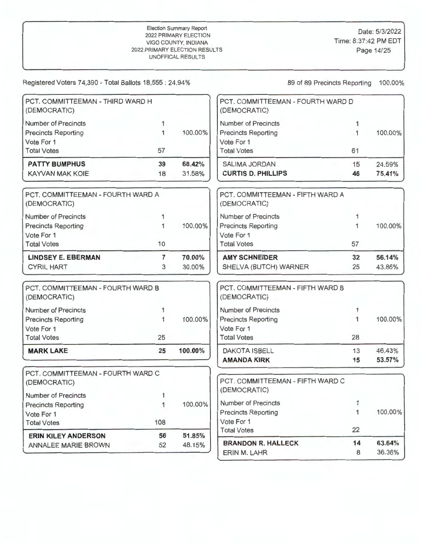| PCT. COMMITTEEMAN - THIRD WARD H<br>(DEMOCRATIC)  |              |         | PCT. COMMITTEEMAN - FOURTH WARD D<br>(DEMOCRATIC) |              |                  |
|---------------------------------------------------|--------------|---------|---------------------------------------------------|--------------|------------------|
| <b>Number of Precincts</b>                        | 1            |         | <b>Number of Precincts</b>                        | 1            |                  |
| <b>Precincts Reporting</b>                        | $\mathbf{1}$ | 100.00% | <b>Precincts Reporting</b>                        | 1            | 100.00%          |
| Vote For 1                                        |              |         | Vote For 1                                        |              |                  |
| <b>Total Votes</b>                                | 57           |         | <b>Total Votes</b>                                | 61           |                  |
| <b>PATTY BUMPHUS</b>                              | 39           | 68.42%  | SALIMA JORDAN                                     | 15           | 24.59%           |
| <b>KAYVAN MAK KOIE</b>                            | 18           | 31.58%  | <b>CURTIS D. PHILLIPS</b>                         | 46           | 75.41%           |
| PCT. COMMITTEEMAN - FOURTH WARD A<br>(DEMOCRATIC) |              |         | PCT. COMMITTEEMAN - FIFTH WARD A<br>(DEMOCRATIC)  |              |                  |
| <b>Number of Precincts</b>                        | 1            |         | <b>Number of Precincts</b>                        | 1            |                  |
| <b>Precincts Reporting</b>                        | 1            | 100.00% | <b>Precincts Reporting</b>                        | 1            | 100.00%          |
| Vote For 1                                        |              |         | Vote For 1                                        |              |                  |
| <b>Total Votes</b>                                | 10           |         | <b>Total Votes</b>                                | 57           |                  |
| <b>LINDSEY E. EBERMAN</b>                         | 7            | 70.00%  | <b>AMY SCHNEIDER</b>                              | 32           | 56.14%           |
| <b>CYRIL HART</b>                                 | 3            | 30.00%  | SHELVA (BUTCH) WARNER                             | 25           | 43.86%           |
| PCT. COMMITTEEMAN - FOURTH WARD B<br>(DEMOCRATIC) |              |         | PCT. COMMITTEEMAN - FIFTH WARD B<br>(DEMOCRATIC)  |              |                  |
| <b>Number of Precincts</b>                        | 1            |         | <b>Number of Precincts</b>                        | 1            |                  |
| <b>Precincts Reporting</b>                        | 1            | 100.00% | <b>Precincts Reporting</b>                        | $\mathbf{1}$ | 100.00%          |
| Vote For 1                                        |              |         | Vote For 1                                        |              |                  |
| <b>Total Votes</b>                                | 25           |         | <b>Total Votes</b>                                | 28           |                  |
| <b>MARK LAKE</b>                                  | 25           | 100.00% | <b>DAKOTA ISBELL</b><br><b>AMANDA KIRK</b>        | 13<br>15     | 46.43%<br>53.57% |
|                                                   |              |         |                                                   |              |                  |
| PCT, COMMITTEEMAN - FOURTH WARD C<br>(DEMOCRATIC) |              |         | PCT. COMMITTEEMAN - FIFTH WARD C<br>(DEMOCRATIC)  |              |                  |
| <b>Number of Precincts</b>                        | 1            |         |                                                   |              |                  |
| <b>Precincts Reporting</b>                        | $\mathbf{1}$ | 100.00% | Number of Precincts                               | 1            |                  |
| Vote For 1                                        |              |         | <b>Precincts Reporting</b>                        | $\mathbf{1}$ | 100.00%          |
| <b>Total Votes</b>                                | 108          |         | Vote For 1                                        |              |                  |
| <b>ERIN KILEY ANDERSON</b>                        | 56           | 51.85%  | <b>Total Votes</b>                                | 22           |                  |
| ANNALEE MARIE BROWN                               | 52           | 48.15%  | <b>BRANDON R. HALLECK</b>                         | 14           | 63.64%           |
|                                                   |              |         | ERIN M. LAHR                                      | 8            | 36.36%           |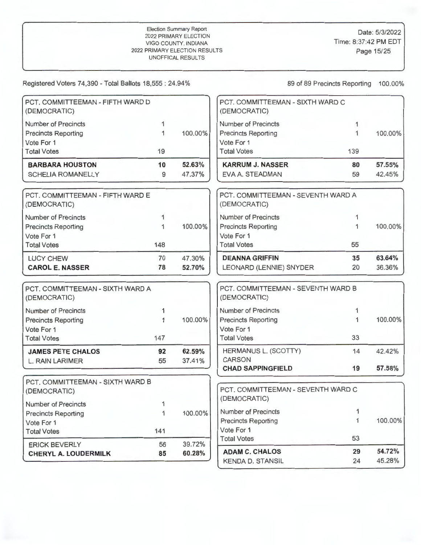| PCT. COMMITTEEMAN - FIFTH WARD D<br>(DEMOCRATIC) |     |         | PCT, COMMITTEEMAN - SIXTH WARD C<br>(DEMOCRATIC)   |     |         |
|--------------------------------------------------|-----|---------|----------------------------------------------------|-----|---------|
| Number of Precincts                              | 1   |         | Number of Precincts                                | 1   |         |
| <b>Precincts Reporting</b>                       | 1   | 100.00% | <b>Precincts Reporting</b>                         | 1   | 100.00% |
| Vote For 1                                       |     |         | Vote For 1                                         |     |         |
| <b>Total Votes</b>                               | 19  |         | <b>Total Votes</b>                                 | 139 |         |
| <b>BARBARA HOUSTON</b>                           | 10  | 52.63%  | <b>KARRUM J. NASSER</b>                            | 80  | 57.55%  |
| <b>SCHELIA ROMANELLY</b>                         | 9   | 47.37%  | EVA A. STEADMAN                                    | 59  | 42.45%  |
| PCT. COMMITTEEMAN - FIFTH WARD E<br>(DEMOCRATIC) |     |         | PCT, COMMITTEEMAN - SEVENTH WARD A<br>(DEMOCRATIC) |     |         |
| <b>Number of Precincts</b>                       | 1   |         | Number of Precincts                                | 1   |         |
| <b>Precincts Reporting</b>                       | 1   | 100.00% | <b>Precincts Reporting</b>                         | 1   | 100.00% |
| Vote For 1                                       |     |         | Vote For 1                                         |     |         |
| <b>Total Votes</b>                               | 148 |         | <b>Total Votes</b>                                 | 55  |         |
| <b>LUCY CHEW</b>                                 | 70  | 47.30%  | <b>DEANNA GRIFFIN</b>                              | 35  | 63.64%  |
| <b>CAROL E. NASSER</b>                           | 78  | 52.70%  | LEONARD (LENNIE) SNYDER                            | 20  | 36.36%  |
| PCT, COMMITTEEMAN - SIXTH WARD A<br>(DEMOCRATIC) |     |         | PCT. COMMITTEEMAN - SEVENTH WARD B<br>(DEMOCRATIC) |     |         |
| <b>Number of Precincts</b>                       | 1   |         | Number of Precincts                                | 1   |         |
| <b>Precincts Reporting</b>                       | 1   | 100.00% | <b>Precincts Reporting</b>                         | 1   | 100.00% |
| Vote For 1                                       |     |         | Vote For 1                                         |     |         |
| <b>Total Votes</b>                               | 147 |         | <b>Total Votes</b>                                 | 33  |         |
| <b>JAMES PETE CHALOS</b>                         | 92  | 62.59%  | HERMANUS L. (SCOTTY)                               | 14  | 42.42%  |
| L. RAIN LARIMER                                  | 55  | 37.41%  | <b>CARSON</b>                                      |     |         |
|                                                  |     |         | <b>CHAD SAPPINGFIELD</b>                           | 19  | 57.58%  |
| PCT. COMMITTEEMAN - SIXTH WARD B<br>(DEMOCRATIC) |     |         | PCT. COMMITTEEMAN - SEVENTH WARD C                 |     |         |
| Number of Precincts                              | 1.  |         | (DEMOCRATIC)                                       |     |         |
| <b>Precincts Reporting</b>                       | 1   | 100.00% | Number of Precincts                                | 1   |         |
| Vote For 1                                       |     |         | <b>Precincts Reporting</b>                         | 1   | 100.00% |
| <b>Total Votes</b>                               | 141 |         | Vote For 1                                         |     |         |
| <b>ERICK BEVERLY</b>                             | 56  | 39.72%  | <b>Total Votes</b>                                 | 53  |         |
| <b>CHERYL A. LOUDERMILK</b>                      | 85  | 60.28%  | <b>ADAM C. CHALOS</b>                              | 29  | 54.72%  |
|                                                  |     |         | <b>KENDA D. STANSIL</b>                            | 24  | 45.28%  |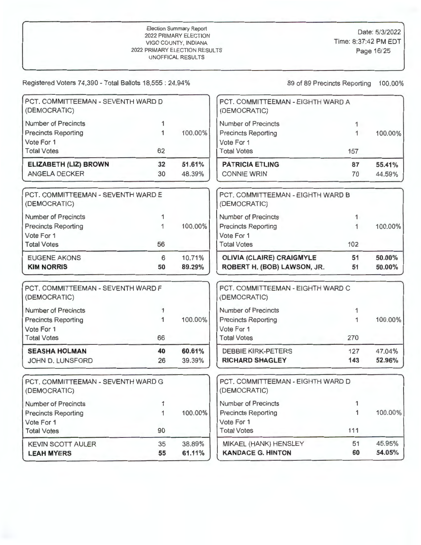| PCT, COMMITTEEMAN - SEVENTH WARD D<br>(DEMOCRATIC) |    |         | PCT. COMMITTEEMAN - EIGHTH WARD A<br>(DEMOCRATIC) |              |         |
|----------------------------------------------------|----|---------|---------------------------------------------------|--------------|---------|
| <b>Number of Precincts</b>                         | 1  |         | <b>Number of Precincts</b>                        | 1            |         |
| <b>Precincts Reporting</b>                         | 1  | 100.00% | <b>Precincts Reporting</b>                        | $\mathbf{1}$ | 100.00% |
| Vote For 1                                         |    |         | Vote For 1                                        |              |         |
| <b>Total Votes</b>                                 | 62 |         | <b>Total Votes</b>                                | 157          |         |
| ELIZABETH (LIZ) BROWN                              | 32 | 51.61%  | <b>PATRICIA ETLING</b>                            | 87           | 55.41%  |
| <b>ANGELA DECKER</b>                               | 30 | 48.39%  | <b>CONNIE WRIN</b>                                | 70           | 44.59%  |
| PCT, COMMITTEEMAN - SEVENTH WARD E<br>(DEMOCRATIC) |    |         | PCT. COMMITTEEMAN - EIGHTH WARD B<br>(DEMOCRATIC) |              |         |
| <b>Number of Precincts</b>                         | 1  |         | Number of Precincts                               | 1.           |         |
| <b>Precincts Reporting</b>                         | 1  | 100.00% | <b>Precincts Reporting</b>                        | 1            | 100.00% |
| Vote For 1                                         |    |         | Vote For 1                                        |              |         |
| <b>Total Votes</b>                                 | 56 |         | <b>Total Votes</b>                                | 102          |         |
| <b>EUGENE AKONS</b>                                | 6  | 10.71%  | <b>OLIVIA (CLAIRE) CRAIGMYLE</b>                  | 51           | 50.00%  |
| <b>KIM NORRIS</b>                                  | 50 | 89.29%  | ROBERT H. (BOB) LAWSON, JR.                       | 51           | 50.00%  |
| PCT. COMMITTEEMAN - SEVENTH WARD F<br>(DEMOCRATIC) |    |         | PCT. COMMITTEEMAN - EIGHTH WARD C<br>(DEMOCRATIC) |              |         |
| <b>Number of Precincts</b>                         | 1  |         | <b>Number of Precincts</b>                        | 1            |         |
| <b>Precincts Reporting</b>                         | 1  | 100.00% | <b>Precincts Reporting</b>                        | 1            | 100.00% |
| Vote For 1                                         |    |         | Vote For 1                                        |              |         |
| <b>Total Votes</b>                                 | 66 |         | <b>Total Votes</b>                                | 270          |         |
| <b>SEASHA HOLMAN</b>                               | 40 | 60.61%  | <b>DEBBIE KIRK-PETERS</b>                         | 127          | 47.04%  |
| JOHN D. LUNSFORD                                   | 26 | 39.39%  | <b>RICHARD SHAGLEY</b>                            | 143          | 52.96%  |
| PCT. COMMITTEEMAN - SEVENTH WARD G<br>(DEMOCRATIC) |    |         | PCT. COMMITTEEMAN - EIGHTH WARD D<br>(DEMOCRATIC) |              |         |
| <b>Number of Precincts</b>                         |    |         | Number of Precincts                               | $\mathbf{1}$ |         |
| <b>Precincts Reporting</b>                         | 1  | 100.00% | <b>Precincts Reporting</b>                        | $\mathbf{1}$ | 100.00% |
| Vote For 1                                         |    |         | Vote For 1                                        |              |         |
| <b>Total Votes</b>                                 | 90 |         | <b>Total Votes</b>                                | 111          |         |
| <b>KEVIN SCOTT AULER</b>                           | 35 | 38.89%  | MIKAEL (HANK) HENSLEY                             | 51           | 45.95%  |
| <b>LEAH MYERS</b>                                  | 55 | 61.11%  | <b>KANDACE G. HINTON</b>                          | 60           | 54.05%  |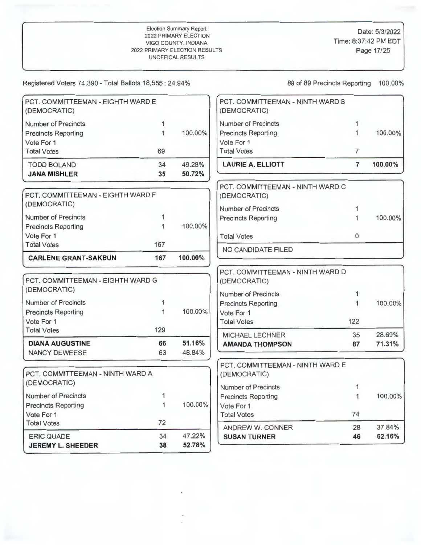| <b>Number of Precincts</b><br><b>Number of Precincts</b><br>1<br>1<br>1<br>1<br>100.00%<br><b>Precincts Reporting</b><br><b>Precincts Reporting</b><br>Vote For 1<br>Vote For 1<br><b>Total Votes</b><br>$\overline{7}$<br><b>Total Votes</b><br>69<br><b>LAURIE A. ELLIOTT</b><br>$\overline{7}$<br>49.28%<br>100.00%<br><b>TODD BOLAND</b><br>34<br>35<br>50.72%<br><b>JANA MISHLER</b><br>PCT. COMMITTEEMAN - NINTH WARD C<br>PCT, COMMITTEEMAN - EIGHTH WARD F<br>(DEMOCRATIC)<br>(DEMOCRATIC)<br><b>Number of Precincts</b><br>1<br><b>Number of Precincts</b><br>1<br><b>Precincts Reporting</b><br>1<br>1<br>100.00%<br><b>Precincts Reporting</b><br>Vote For 1<br><b>Total Votes</b><br>$\Omega$<br>167<br><b>Total Votes</b><br>NO CANDIDATE FILED<br>167<br>100.00%<br><b>CARLENE GRANT-SAKBUN</b><br>PCT, COMMITTEEMAN - NINTH WARD D<br>PCT, COMMITTEEMAN - EIGHTH WARD G<br>(DEMOCRATIC)<br>(DEMOCRATIC)<br><b>Number of Precincts</b><br>1<br><b>Number of Precincts</b><br>1<br>1<br><b>Precincts Reporting</b><br>100.00%<br>1<br><b>Precincts Reporting</b><br>Vote For 1<br>Vote For 1<br><b>Total Votes</b><br>122<br>129<br><b>Total Votes</b><br>28.69%<br>MICHAEL LECHNER<br>35<br>51.16%<br>66<br><b>DIANA AUGUSTINE</b><br>87<br>71.31%<br><b>AMANDA THOMPSON</b><br>63<br>48.84%<br>NANCY DEWEESE<br>PCT, COMMITTEEMAN - NINTH WARD E<br>PCT. COMMITTEEMAN - NINTH WARD A<br>(DEMOCRATIC)<br>(DEMOCRATIC)<br><b>Number of Precincts</b><br>1<br><b>Number of Precincts</b><br>1<br>100.00%<br>1<br><b>Precincts Reporting</b><br>$\overline{1}$<br>100.00%<br><b>Precincts Reporting</b><br>Vote For 1<br>74<br>Vote For 1<br><b>Total Votes</b><br>72<br><b>Total Votes</b><br>37.84%<br>28<br>ANDREW W. CONNER<br>47.22%<br>34<br><b>ERIC QUADE</b><br>46<br>62.16%<br><b>SUSAN TURNER</b> | PCT. COMMITTEEMAN - EIGHTH WARD E<br>(DEMOCRATIC) |    |        | PCT. COMMITTEEMAN - NINTH WARD B<br>(DEMOCRATIC) |         |
|------------------------------------------------------------------------------------------------------------------------------------------------------------------------------------------------------------------------------------------------------------------------------------------------------------------------------------------------------------------------------------------------------------------------------------------------------------------------------------------------------------------------------------------------------------------------------------------------------------------------------------------------------------------------------------------------------------------------------------------------------------------------------------------------------------------------------------------------------------------------------------------------------------------------------------------------------------------------------------------------------------------------------------------------------------------------------------------------------------------------------------------------------------------------------------------------------------------------------------------------------------------------------------------------------------------------------------------------------------------------------------------------------------------------------------------------------------------------------------------------------------------------------------------------------------------------------------------------------------------------------------------------------------------------------------------------------------------------------------------------------------------------------------------------------------------------|---------------------------------------------------|----|--------|--------------------------------------------------|---------|
|                                                                                                                                                                                                                                                                                                                                                                                                                                                                                                                                                                                                                                                                                                                                                                                                                                                                                                                                                                                                                                                                                                                                                                                                                                                                                                                                                                                                                                                                                                                                                                                                                                                                                                                                                                                                                        |                                                   |    |        |                                                  |         |
|                                                                                                                                                                                                                                                                                                                                                                                                                                                                                                                                                                                                                                                                                                                                                                                                                                                                                                                                                                                                                                                                                                                                                                                                                                                                                                                                                                                                                                                                                                                                                                                                                                                                                                                                                                                                                        |                                                   |    |        |                                                  | 100.00% |
|                                                                                                                                                                                                                                                                                                                                                                                                                                                                                                                                                                                                                                                                                                                                                                                                                                                                                                                                                                                                                                                                                                                                                                                                                                                                                                                                                                                                                                                                                                                                                                                                                                                                                                                                                                                                                        |                                                   |    |        |                                                  |         |
|                                                                                                                                                                                                                                                                                                                                                                                                                                                                                                                                                                                                                                                                                                                                                                                                                                                                                                                                                                                                                                                                                                                                                                                                                                                                                                                                                                                                                                                                                                                                                                                                                                                                                                                                                                                                                        |                                                   |    |        |                                                  |         |
|                                                                                                                                                                                                                                                                                                                                                                                                                                                                                                                                                                                                                                                                                                                                                                                                                                                                                                                                                                                                                                                                                                                                                                                                                                                                                                                                                                                                                                                                                                                                                                                                                                                                                                                                                                                                                        |                                                   |    |        |                                                  |         |
|                                                                                                                                                                                                                                                                                                                                                                                                                                                                                                                                                                                                                                                                                                                                                                                                                                                                                                                                                                                                                                                                                                                                                                                                                                                                                                                                                                                                                                                                                                                                                                                                                                                                                                                                                                                                                        |                                                   |    |        |                                                  |         |
|                                                                                                                                                                                                                                                                                                                                                                                                                                                                                                                                                                                                                                                                                                                                                                                                                                                                                                                                                                                                                                                                                                                                                                                                                                                                                                                                                                                                                                                                                                                                                                                                                                                                                                                                                                                                                        |                                                   |    |        |                                                  |         |
|                                                                                                                                                                                                                                                                                                                                                                                                                                                                                                                                                                                                                                                                                                                                                                                                                                                                                                                                                                                                                                                                                                                                                                                                                                                                                                                                                                                                                                                                                                                                                                                                                                                                                                                                                                                                                        |                                                   |    |        |                                                  |         |
|                                                                                                                                                                                                                                                                                                                                                                                                                                                                                                                                                                                                                                                                                                                                                                                                                                                                                                                                                                                                                                                                                                                                                                                                                                                                                                                                                                                                                                                                                                                                                                                                                                                                                                                                                                                                                        |                                                   |    |        |                                                  |         |
|                                                                                                                                                                                                                                                                                                                                                                                                                                                                                                                                                                                                                                                                                                                                                                                                                                                                                                                                                                                                                                                                                                                                                                                                                                                                                                                                                                                                                                                                                                                                                                                                                                                                                                                                                                                                                        |                                                   |    |        |                                                  | 100.00% |
|                                                                                                                                                                                                                                                                                                                                                                                                                                                                                                                                                                                                                                                                                                                                                                                                                                                                                                                                                                                                                                                                                                                                                                                                                                                                                                                                                                                                                                                                                                                                                                                                                                                                                                                                                                                                                        |                                                   |    |        |                                                  |         |
|                                                                                                                                                                                                                                                                                                                                                                                                                                                                                                                                                                                                                                                                                                                                                                                                                                                                                                                                                                                                                                                                                                                                                                                                                                                                                                                                                                                                                                                                                                                                                                                                                                                                                                                                                                                                                        |                                                   |    |        |                                                  |         |
|                                                                                                                                                                                                                                                                                                                                                                                                                                                                                                                                                                                                                                                                                                                                                                                                                                                                                                                                                                                                                                                                                                                                                                                                                                                                                                                                                                                                                                                                                                                                                                                                                                                                                                                                                                                                                        |                                                   |    |        |                                                  |         |
|                                                                                                                                                                                                                                                                                                                                                                                                                                                                                                                                                                                                                                                                                                                                                                                                                                                                                                                                                                                                                                                                                                                                                                                                                                                                                                                                                                                                                                                                                                                                                                                                                                                                                                                                                                                                                        |                                                   |    |        |                                                  |         |
|                                                                                                                                                                                                                                                                                                                                                                                                                                                                                                                                                                                                                                                                                                                                                                                                                                                                                                                                                                                                                                                                                                                                                                                                                                                                                                                                                                                                                                                                                                                                                                                                                                                                                                                                                                                                                        |                                                   |    |        |                                                  |         |
|                                                                                                                                                                                                                                                                                                                                                                                                                                                                                                                                                                                                                                                                                                                                                                                                                                                                                                                                                                                                                                                                                                                                                                                                                                                                                                                                                                                                                                                                                                                                                                                                                                                                                                                                                                                                                        |                                                   |    |        |                                                  |         |
|                                                                                                                                                                                                                                                                                                                                                                                                                                                                                                                                                                                                                                                                                                                                                                                                                                                                                                                                                                                                                                                                                                                                                                                                                                                                                                                                                                                                                                                                                                                                                                                                                                                                                                                                                                                                                        |                                                   |    |        |                                                  |         |
|                                                                                                                                                                                                                                                                                                                                                                                                                                                                                                                                                                                                                                                                                                                                                                                                                                                                                                                                                                                                                                                                                                                                                                                                                                                                                                                                                                                                                                                                                                                                                                                                                                                                                                                                                                                                                        |                                                   |    |        |                                                  | 100.00% |
|                                                                                                                                                                                                                                                                                                                                                                                                                                                                                                                                                                                                                                                                                                                                                                                                                                                                                                                                                                                                                                                                                                                                                                                                                                                                                                                                                                                                                                                                                                                                                                                                                                                                                                                                                                                                                        |                                                   |    |        |                                                  |         |
|                                                                                                                                                                                                                                                                                                                                                                                                                                                                                                                                                                                                                                                                                                                                                                                                                                                                                                                                                                                                                                                                                                                                                                                                                                                                                                                                                                                                                                                                                                                                                                                                                                                                                                                                                                                                                        |                                                   |    |        |                                                  |         |
|                                                                                                                                                                                                                                                                                                                                                                                                                                                                                                                                                                                                                                                                                                                                                                                                                                                                                                                                                                                                                                                                                                                                                                                                                                                                                                                                                                                                                                                                                                                                                                                                                                                                                                                                                                                                                        |                                                   |    |        |                                                  |         |
|                                                                                                                                                                                                                                                                                                                                                                                                                                                                                                                                                                                                                                                                                                                                                                                                                                                                                                                                                                                                                                                                                                                                                                                                                                                                                                                                                                                                                                                                                                                                                                                                                                                                                                                                                                                                                        |                                                   |    |        |                                                  |         |
|                                                                                                                                                                                                                                                                                                                                                                                                                                                                                                                                                                                                                                                                                                                                                                                                                                                                                                                                                                                                                                                                                                                                                                                                                                                                                                                                                                                                                                                                                                                                                                                                                                                                                                                                                                                                                        |                                                   |    |        |                                                  |         |
|                                                                                                                                                                                                                                                                                                                                                                                                                                                                                                                                                                                                                                                                                                                                                                                                                                                                                                                                                                                                                                                                                                                                                                                                                                                                                                                                                                                                                                                                                                                                                                                                                                                                                                                                                                                                                        |                                                   |    |        |                                                  |         |
|                                                                                                                                                                                                                                                                                                                                                                                                                                                                                                                                                                                                                                                                                                                                                                                                                                                                                                                                                                                                                                                                                                                                                                                                                                                                                                                                                                                                                                                                                                                                                                                                                                                                                                                                                                                                                        |                                                   |    |        |                                                  |         |
|                                                                                                                                                                                                                                                                                                                                                                                                                                                                                                                                                                                                                                                                                                                                                                                                                                                                                                                                                                                                                                                                                                                                                                                                                                                                                                                                                                                                                                                                                                                                                                                                                                                                                                                                                                                                                        |                                                   |    |        |                                                  |         |
|                                                                                                                                                                                                                                                                                                                                                                                                                                                                                                                                                                                                                                                                                                                                                                                                                                                                                                                                                                                                                                                                                                                                                                                                                                                                                                                                                                                                                                                                                                                                                                                                                                                                                                                                                                                                                        |                                                   |    |        |                                                  |         |
|                                                                                                                                                                                                                                                                                                                                                                                                                                                                                                                                                                                                                                                                                                                                                                                                                                                                                                                                                                                                                                                                                                                                                                                                                                                                                                                                                                                                                                                                                                                                                                                                                                                                                                                                                                                                                        |                                                   |    |        |                                                  |         |
|                                                                                                                                                                                                                                                                                                                                                                                                                                                                                                                                                                                                                                                                                                                                                                                                                                                                                                                                                                                                                                                                                                                                                                                                                                                                                                                                                                                                                                                                                                                                                                                                                                                                                                                                                                                                                        |                                                   |    |        |                                                  |         |
|                                                                                                                                                                                                                                                                                                                                                                                                                                                                                                                                                                                                                                                                                                                                                                                                                                                                                                                                                                                                                                                                                                                                                                                                                                                                                                                                                                                                                                                                                                                                                                                                                                                                                                                                                                                                                        |                                                   |    |        |                                                  |         |
|                                                                                                                                                                                                                                                                                                                                                                                                                                                                                                                                                                                                                                                                                                                                                                                                                                                                                                                                                                                                                                                                                                                                                                                                                                                                                                                                                                                                                                                                                                                                                                                                                                                                                                                                                                                                                        |                                                   |    |        |                                                  |         |
|                                                                                                                                                                                                                                                                                                                                                                                                                                                                                                                                                                                                                                                                                                                                                                                                                                                                                                                                                                                                                                                                                                                                                                                                                                                                                                                                                                                                                                                                                                                                                                                                                                                                                                                                                                                                                        | <b>JEREMY L. SHEEDER</b>                          | 38 | 52.78% |                                                  |         |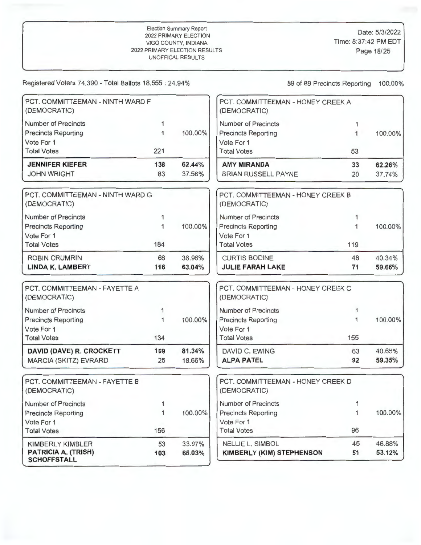Registered Voters 74,390 - Total Ballots 18,555 : 24.94% 89 89 89 Precincts Reporting 100.00%

**SCHOFFSTALL** 

Vote For 1

| <b>JENNIFER KIEFER</b><br><b>JOHN WRIGHT</b>     | 138<br>83 | 62.44%<br>37.56% | <b>AMY MIRANDA</b><br><b>BRIAN RUSSELL PAYNE</b>  | 33<br>20 | 62.26%<br>37.74% |
|--------------------------------------------------|-----------|------------------|---------------------------------------------------|----------|------------------|
| <b>Total Votes</b>                               | 221       |                  | Vote For 1<br><b>Total Votes</b>                  | 53       |                  |
| <b>Precincts Reporting</b><br>Vote For 1         |           | 100.00%          | <b>Precincts Reporting</b>                        |          | 100.00%          |
| <b>Number of Precincts</b>                       |           |                  | Number of Precincts                               |          |                  |
| PCT. COMMITTEEMAN - NINTH WARD F<br>(DEMOCRATIC) |           |                  | PCT. COMMITTEEMAN - HONEY CREEK A<br>(DEMOCRATIC) |          |                  |

| Vote For 1<br><b>Total Votes</b>                         | 184 |         | Vote For 1<br><b>Total Votes</b>                  | 119 |         |
|----------------------------------------------------------|-----|---------|---------------------------------------------------|-----|---------|
| <b>ROBIN CRUMRIN</b>                                     | 68  | 36.96%  | <b>CURTIS BODINE</b>                              | 48  | 40.34%  |
|                                                          |     |         |                                                   |     |         |
| <b>Number of Precincts</b><br><b>Precincts Reporting</b> |     | 100.00% | Number of Precincts<br><b>Precincts Reporting</b> |     | 100.00% |
| PCT. COMMITTEEMAN - NINTH WARD G<br>(DEMOCRATIC)         |     |         | PCT. COMMITTEEMAN - HONEY CREEK B<br>(DEMOCRATIC) |     |         |

| PCT. COMMITTEEMAN - FAYETTE A<br>(DEMOCRATIC) |     |         | PCT. COMMITTEEMAN - HONEY CREEK C<br>(DEMOCRATIC) |     |         |
|-----------------------------------------------|-----|---------|---------------------------------------------------|-----|---------|
| <b>Number of Precincts</b>                    |     |         | Number of Precincts                               |     |         |
| <b>Precincts Reporting</b>                    |     | 100.00% | <b>Precincts Reporting</b>                        |     | 100.00% |
| Vote For 1                                    |     |         | Vote For 1                                        |     |         |
| <b>Total Votes</b>                            | 134 |         | <b>Total Votes</b>                                | 155 |         |
| DAVID (DAVE) R. CROCKETT                      | 109 | 81.34%  | DAVID C. EWING                                    | 63  | 40.65%  |
| MARCIA (SKITZ) EVRARD                         | 25  | 18.66%  | <b>ALPA PATEL</b>                                 | 92  | 59.35%  |

| PCT. COMMITTEEMAN - FAYETTE B<br>(DEMOCRATIC)    |     |         | PCT. COMMITTEEMAN - HONEY CREEK D<br>(DEMOCRATIC) |    |         |
|--------------------------------------------------|-----|---------|---------------------------------------------------|----|---------|
| <b>Number of Precincts</b>                       |     |         | Number of Precincts                               |    |         |
| <b>Precincts Reporting</b>                       |     | 100.00% | <b>Precincts Reporting</b>                        |    | 100.00% |
| Vote For 1                                       |     |         | Vote For 1                                        |    |         |
| <b>Total Votes</b>                               | 156 |         | <b>Total Votes</b>                                | 96 |         |
| <b>KIMBERLY KIMBLER</b>                          | 53  | 33.97%  | <b>NELLIE L. SIMBOL</b>                           | 45 | 46.88%  |
| <b>PATRICIA A. (TRISH)</b><br><b>SCHOFFSTALL</b> | 103 | 66.03%  | <b>KIMBERLY (KIM) STEPHENSON</b>                  | 51 | 53.12%  |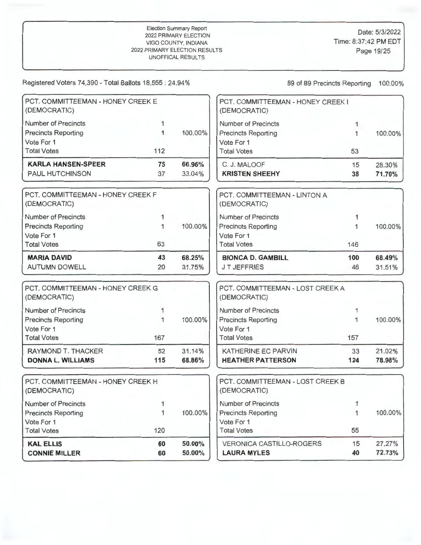| <b>CONNIE MILLER</b>                                     | 60     | 50.00%  | <b>LAURA MYLES</b>                                | 40           | 72.73%  |
|----------------------------------------------------------|--------|---------|---------------------------------------------------|--------------|---------|
| <b>KAL ELLIS</b>                                         | 60     | 50.00%  | <b>VERONICA CASTILLO-ROGERS</b>                   | 15           | 27.27%  |
| Vote For 1<br><b>Total Votes</b>                         | 120    |         | Vote For 1<br><b>Total Votes</b>                  | 55           |         |
| <b>Precincts Reporting</b>                               | 1      | 100.00% | <b>Precincts Reporting</b>                        | 1            | 100.00% |
| Number of Precincts                                      |        |         | Number of Precincts                               | $\mathbf{1}$ |         |
| PCT. COMMITTEEMAN - HONEY CREEK H<br>(DEMOCRATIC)        |        |         | PCT. COMMITTEEMAN - LOST CREEK B<br>(DEMOCRATIC)  |              |         |
| <b>DONNA L. WILLIAMS</b>                                 | 115    | 68.86%  | <b>HEATHER PATTERSON</b>                          | 124          | 78.98%  |
| RAYMOND T. THACKER                                       | 52     | 31.14%  | KATHERINE EC PARVIN                               | 33           | 21.02%  |
| Vote For 1<br><b>Total Votes</b>                         | 167    |         | Vote For 1<br><b>Total Votes</b>                  | 157          |         |
| <b>Number of Precincts</b><br><b>Precincts Reporting</b> | 1<br>1 | 100.00% | Number of Precincts<br><b>Precincts Reporting</b> | 1.<br>1      | 100.00% |
| PCT. COMMITTEEMAN - HONEY CREEK G<br>(DEMOCRATIC)        |        |         | PCT. COMMITTEEMAN - LOST CREEK A<br>(DEMOCRATIC)  |              |         |
| <b>AUTUMN DOWELL</b>                                     | 20     | 31.75%  | <b>JT JEFFRIES</b>                                | 46           | 31.51%  |
| <b>MARIA DAVID</b>                                       | 43     | 68.25%  | <b>BIONCA D. GAMBILL</b>                          | 100          | 68.49%  |
| Vote For 1<br><b>Total Votes</b>                         | 63     |         | Vote For 1<br><b>Total Votes</b>                  | 146          |         |
| <b>Precincts Reporting</b>                               | 1      | 100.00% | <b>Precincts Reporting</b>                        | 1            | 100.00% |
| <b>Number of Precincts</b>                               | 1      |         | Number of Precincts                               | 1            |         |
| PCT. COMMITTEEMAN - HONEY CREEK F<br>(DEMOCRATIC)        |        |         | PCT. COMMITTEEMAN - LINTON A<br>(DEMOCRATIC)      |              |         |
| <b>PAUL HUTCHINSON</b>                                   | 37     | 33.04%  | <b>KRISTEN SHEEHY</b>                             | 38           | 71.70%  |
| <b>KARLA HANSEN-SPEER</b>                                | 75     | 66.96%  | C. J. MALOOF                                      | 15           | 28.30%  |
| Vote For 1<br><b>Total Votes</b>                         | 112    |         | Vote For 1<br><b>Total Votes</b>                  | 53           |         |
| <b>Precincts Reporting</b>                               | 1      | 100.00% | <b>Precincts Reporting</b>                        | 1            | 100.00% |
| <b>Number of Precincts</b>                               | 1      |         | Number of Precincts                               | 1.           |         |
| PCT. COMMITTEEMAN - HONEY CREEK E<br>(DEMOCRATIC)        |        |         | PCT. COMMITTEEMAN - HONEY CREEK I<br>(DEMOCRATIC) |              |         |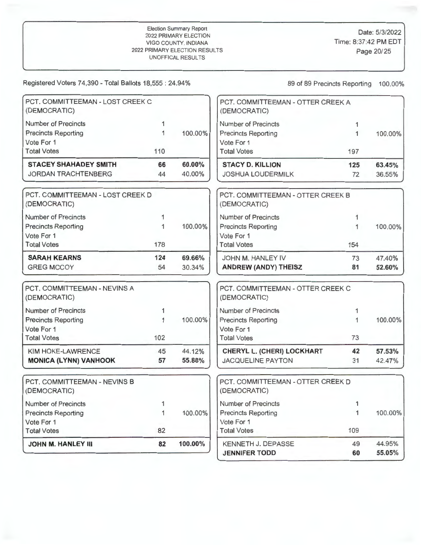| PCT. COMMITTEEMAN - LOST CREEK C<br>(DEMOCRATIC) |     |         | PCT. COMMITTEEMAN - OTTER CREEK A<br>(DEMOCRATIC) |     |         |
|--------------------------------------------------|-----|---------|---------------------------------------------------|-----|---------|
| <b>Number of Precincts</b>                       |     |         | <b>Number of Precincts</b>                        |     |         |
| <b>Precincts Reporting</b>                       |     | 100.00% | <b>Precincts Reporting</b>                        | 1   | 100.00% |
| Vote For 1                                       |     |         | Vote For 1                                        |     |         |
| <b>Total Votes</b>                               | 110 |         | <b>Total Votes</b>                                | 197 |         |
| <b>STACEY SHAHADEY SMITH</b>                     | 66  | 60.00%  | <b>STACY D. KILLION</b>                           | 125 | 63.45%  |
| <b>JORDAN TRACHTENBERG</b>                       | 44  | 40.00%  | <b>JOSHUA LOUDERMILK</b>                          | 72  | 36.55%  |
|                                                  |     |         |                                                   |     |         |
| PCT, COMMITTEEMAN - LOST CREEK D<br>(DEMOCRATIC) |     |         | PCT. COMMITTEEMAN - OTTER CREEK B<br>(DEMOCRATIC) |     |         |
| <b>Number of Precincts</b>                       |     |         | Number of Precincts                               |     |         |
| <b>Precincts Reporting</b>                       |     | 100.00% | <b>Precincts Reporting</b>                        |     | 100.00% |
| Vote For 1                                       |     |         | Vote For 1                                        |     |         |
| <b>Total Votes</b>                               | 178 |         | <b>Total Votes</b>                                | 154 |         |
| <b>SARAH KEARNS</b>                              | 124 | 69.66%  | JOHN M. HANLEY IV                                 | 73  | 47.40%  |
| <b>GREG MCCOY</b>                                | 54  | 30.34%  | ANDREW (ANDY) THEISZ                              | 81  | 52.60%  |
| PCT, COMMITTEEMAN - NEVINS A                     |     |         | PCT. COMMITTEEMAN - OTTER CREEK C                 |     |         |
| (DEMOCRATIC)                                     |     |         | (DEMOCRATIC)                                      |     |         |
| Number of Precincts                              |     |         | <b>Number of Precincts</b>                        |     |         |
| <b>Precincts Reporting</b>                       |     | 100.00% | <b>Precincts Reporting</b>                        |     | 100.00% |
| $\lambda$ $\lambda = \lambda - \lambda$          |     |         | $1/ab = E - d$                                    |     |         |

| Vote For 1<br><b>Total Votes</b> | 102 |        | Vote For 1<br>Total Votes         |    |        |
|----------------------------------|-----|--------|-----------------------------------|----|--------|
| KIM HOKE-LAWRENCE                | 45  | 44.12% | <b>CHERYL L. (CHERI) LOCKHART</b> | 42 | 57.53% |
| <b>MONICA (LYNN) VANHOOK</b>     | 57  | 55.88% | JACQUELINE PAYTON                 |    | 42.47% |

| <b>JOHN M. HANLEY III</b>                    | 82 | 100.00% | <b>KENNETH J. DEPASSE</b><br><b>JENNIFER TODD</b> | 49<br>60 |
|----------------------------------------------|----|---------|---------------------------------------------------|----------|
|                                              |    |         |                                                   |          |
| <b>Total Votes</b>                           | 82 |         | <b>Total Votes</b>                                | 109      |
| Vote For 1                                   |    |         | Vote For 1                                        |          |
| <b>Precincts Reporting</b>                   |    | 100.00% | <b>Precincts Reporting</b>                        |          |
| Number of Precincts                          |    |         | <b>Number of Precincts</b>                        |          |
| PCT, COMMITTEEMAN - NEVINS B<br>(DEMOCRATIC) |    |         | PCT. COMMITTEEMAN - OTTER CREEK D<br>(DEMOCRATIC) |          |

| PCT. COMMITTEEMAN - OTTER CREEK A<br>(DEMOCRATIC) |     |         |
|---------------------------------------------------|-----|---------|
| Number of Precincts                               |     |         |
| <b>Precincts Reporting</b>                        | 1   | 100.00% |
| Vote For 1                                        |     |         |
| <b>Total Votes</b>                                | 197 |         |
| <b>STACY D. KILLION</b>                           | 125 | 63.45%  |
| <b>JOSHUA LOUDERMILK</b>                          | 72  | 36.55%  |

| PCT. COMMITTEEMAN - OTTER CREEK B<br>(DEMOCRATIC) |     |         |
|---------------------------------------------------|-----|---------|
| Number of Precincts                               |     |         |
| <b>Precincts Reporting</b>                        |     | 100.00% |
| Vote For 1                                        |     |         |
| <b>Total Votes</b>                                | 154 |         |
| JOHN M. HANLEY IV                                 | 73  | 47.40%  |
| <b>ANDREW (ANDY) THEISZ</b>                       | 81  | 52.60%  |

| PCT. COMMITTEEMAN - OTTER CREEK C<br>(DEMOCRATIC) |    |         |
|---------------------------------------------------|----|---------|
| <b>Number of Precincts</b>                        |    |         |
| <b>Precincts Reporting</b>                        |    | 100.00% |
| Vote For 1                                        |    |         |
| <b>Total Votes</b>                                | 73 |         |
| CHERYL L. (CHERI) LOCKHART                        | 42 | 57.53%  |
| <b>JACQUELINE PAYTON</b>                          | 31 | 42.47%  |

| <b>JOHN M. HANLEY III</b>                    | 82 | 100.00% | <b>KENNETH J. DEPASSE</b><br><b>JENNIFER TODD</b> | 49<br>60 | 44.95%<br>55.05% |
|----------------------------------------------|----|---------|---------------------------------------------------|----------|------------------|
| <b>Total Votes</b>                           | 82 |         | <b>Total Votes</b>                                | 109      |                  |
| Vote For 1                                   |    |         | Vote For 1                                        |          |                  |
| <b>Precincts Reporting</b>                   |    | 100.00% | <b>Precincts Reporting</b>                        |          | 100.00%          |
| <b>Number of Precincts</b>                   |    |         | Number of Precincts                               |          |                  |
| PCT, COMMITTEEMAN - NEVINS B<br>(DEMOCRATIC) |    |         | PCT. COMMITTEEMAN - OTTER CREEK D<br>(DEMOCRATIC) |          |                  |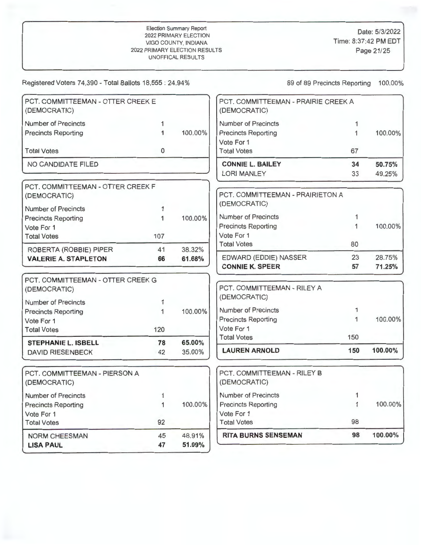Date: 5/3/2022 Time: 8:37:42 PM EDT Page 21/25

| <b>LISA PAUL</b>                                         | 47                           | 51.09%                       |                                                                    |              |         |
|----------------------------------------------------------|------------------------------|------------------------------|--------------------------------------------------------------------|--------------|---------|
| NORM CHEESMAN                                            | 45                           | 48.91%                       | <b>RITA BURNS SENSEMAN</b>                                         | 98           | 100.00% |
| <b>Total Votes</b>                                       | 92                           |                              | <b>Total Votes</b>                                                 | 98           |         |
| Vote For 1                                               |                              |                              | Vote For 1                                                         |              |         |
| <b>Number of Precincts</b><br><b>Precincts Reporting</b> | $\mathbf{1}$<br>$\mathbf{1}$ | 100.00%                      | <b>Precincts Reporting</b>                                         | 1            | 100.00% |
| PCT. COMMITTEEMAN - PIERSON A<br>(DEMOCRATIC)            |                              |                              | PCT. COMMITTEEMAN - RILEY B<br>(DEMOCRATIC)<br>Number of Precincts | 1            |         |
|                                                          |                              |                              |                                                                    |              |         |
| <b>DAVID RIESENBECK</b>                                  | 42                           | 35.00%                       | <b>LAUREN ARNOLD</b>                                               | 150          | 100.00% |
| <b>STEPHANIE L. ISBELL</b>                               | 78                           | 65.00%                       | <b>Total Votes</b>                                                 | 150          |         |
| <b>Total Votes</b>                                       | 120                          |                              | Vote For 1                                                         |              |         |
| Vote For 1                                               |                              |                              | <b>Precincts Reporting</b>                                         | 1            | 100.00% |
| <b>Number of Precincts</b><br><b>Precincts Reporting</b> | 1<br>1                       | 100.00%                      | Number of Precincts                                                | 1            |         |
| PCT. COMMITTEEMAN - OTTER CREEK G<br>(DEMOCRATIC)        |                              |                              | PCT. COMMITTEEMAN - RILEY A<br>(DEMOCRATIC)                        |              |         |
|                                                          |                              |                              | <b>CONNIE K. SPEER</b>                                             | 57           | 71.25%  |
| <b>VALERIE A. STAPLETON</b>                              | 66                           | 61.68%                       | EDWARD (EDDIE) NASSER                                              | 23           | 28.75%  |
| ROBERTA (ROBBIE) PIPER                                   | 41                           | <b>Total Votes</b><br>38.32% |                                                                    | 80           |         |
| <b>Total Votes</b>                                       | 107                          |                              | Vote For 1                                                         |              |         |
| Vote For 1                                               |                              |                              | <b>Precincts Reporting</b>                                         | $\mathbf{1}$ | 100.00% |
| <b>Number of Precincts</b><br><b>Precincts Reporting</b> | 1<br>$\mathbf{1}$            | 100.00%                      | (DEMOCRATIC)<br><b>Number of Precincts</b>                         | 1            |         |
| PCT. COMMITTEEMAN - OTTER CREEK F<br>(DEMOCRATIC)        |                              |                              | PCT, COMMITTEEMAN - PRAIRIETON A                                   |              |         |
|                                                          |                              |                              | <b>LORI MANLEY</b>                                                 | 33           | 49.25%  |
| NO CANDIDATE FILED                                       |                              |                              | <b>CONNIE L. BAILEY</b>                                            | 34           | 50.75%  |
| <b>Total Votes</b>                                       | $\mathbf{0}$                 |                              | Vote For 1<br><b>Total Votes</b>                                   | 67           |         |
| <b>Precincts Reporting</b>                               | $\mathbf{1}$                 | 100.00%                      | <b>Precincts Reporting</b>                                         | $\mathbf{1}$ | 100.00% |
| <b>Number of Precincts</b>                               | 1                            |                              | <b>Number of Precincts</b>                                         | $\mathbf{1}$ |         |
| PCT. COMMITTEEMAN - OTTER CREEK E<br>(DEMOCRATIC)        |                              |                              | PCT. COMMITTEEMAN - PRAIRIE CREEK A<br>(DEMOCRATIC)                |              |         |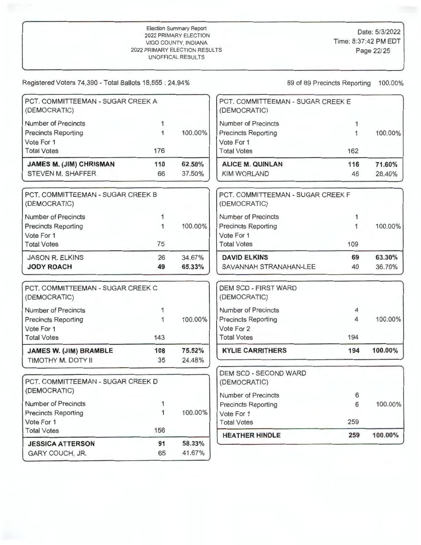| PCT. COMMITTEEMAN - SUGAR CREEK A<br>(DEMOCRATIC) |              |         | PCT. COMMITTEEMAN - SUGAR CREEK E<br>(DEMOCRATIC) |     |         |
|---------------------------------------------------|--------------|---------|---------------------------------------------------|-----|---------|
| <b>Number of Precincts</b>                        | 1            |         | <b>Number of Precincts</b>                        | 1   |         |
| <b>Precincts Reporting</b>                        | $\mathbf{1}$ | 100.00% | <b>Precincts Reporting</b>                        | 1   | 100.00% |
| Vote For 1                                        |              |         | Vote For 1                                        |     |         |
| <b>Total Votes</b>                                | 176          |         | <b>Total Votes</b>                                | 162 |         |
| <b>JAMES M. (JIM) CHRISMAN</b>                    | 110          | 62.50%  | <b>ALICE M. QUINLAN</b>                           | 116 | 71.60%  |
| STEVEN M. SHAFFER                                 | 66           | 37.50%  | <b>KIM WORLAND</b>                                | 46  | 28.40%  |
| PCT. COMMITTEEMAN - SUGAR CREEK B<br>(DEMOCRATIC) |              |         | PCT. COMMITTEEMAN - SUGAR CREEK F<br>(DEMOCRATIC) |     |         |
| <b>Number of Precincts</b>                        | 1            |         | <b>Number of Precincts</b>                        | 1   |         |
| <b>Precincts Reporting</b>                        | 1            | 100.00% | <b>Precincts Reporting</b>                        | 1   | 100.00% |
| Vote For 1                                        |              |         | Vote For 1                                        |     |         |
| <b>Total Votes</b>                                | 75           |         | <b>Total Votes</b>                                | 109 |         |
| <b>JASON R. ELKINS</b>                            | 26           | 34.67%  | <b>DAVID ELKINS</b>                               | 69  | 63.30%  |
| <b>JODY ROACH</b>                                 | 49           | 65.33%  | SAVANNAH STRANAHAN-LEE                            | 40  | 36.70%  |
| PCT, COMMITTEEMAN - SUGAR CREEK C<br>(DEMOCRATIC) |              |         | <b>DEM SCD - FIRST WARD</b><br>(DEMOCRATIC)       |     |         |
| <b>Number of Precincts</b>                        | 1            |         | Number of Precincts                               | 4   |         |
| <b>Precincts Reporting</b>                        | $\mathbf{1}$ | 100.00% | <b>Precincts Reporting</b>                        | 4   | 100.00% |
| Vote For 1                                        |              |         | Vote For 2                                        |     |         |
| <b>Total Votes</b>                                | 143          |         | <b>Total Votes</b>                                | 194 |         |
| <b>JAMES W. (JIM) BRAMBLE</b>                     | 108          | 75.52%  | <b>KYLIE CARRITHERS</b>                           | 194 | 100.00% |
| TIMOTHY M. DOTY II                                | 35           | 24.48%  |                                                   |     |         |
| PCT. COMMITTEEMAN - SUGAR CREEK D                 |              |         | DEM SCD - SECOND WARD<br>(DEMOCRATIC)             |     |         |
| (DEMOCRATIC)                                      |              |         | <b>Number of Precincts</b>                        | 6   |         |
| Number of Precincts                               | 1            |         | <b>Precincts Reporting</b>                        | 6   | 100.00% |
| <b>Precincts Reporting</b>                        | 1            | 100.00% | Vote For 1                                        |     |         |
| Vote For 1                                        |              |         | <b>Total Votes</b>                                | 259 |         |
| <b>Total Votes</b>                                | 156          |         | <b>HEATHER HINDLE</b>                             | 259 | 100.00% |
| <b>JESSICA ATTERSON</b>                           | 91           | 58.33%  |                                                   |     |         |
| GARY COUCH, JR.                                   | 65           | 41.67%  |                                                   |     |         |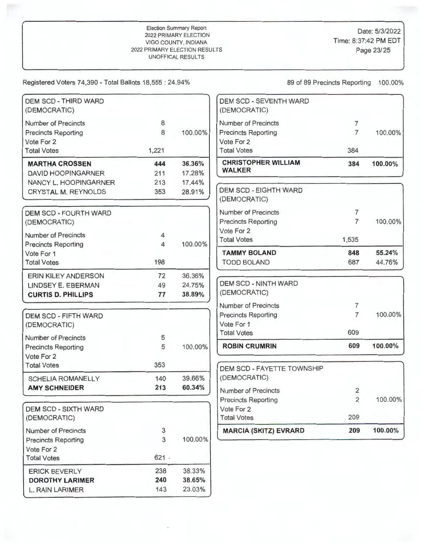# Election Summary Report Date: 5/3/2022<br>
2022 PRIMARY ELECTION<br>
VIGO COUNTY INDIANA VIGO COUNTY INDIANA VIGO COUNTY, INDIANA Time: 8:37:42 PM E<br>PRIMARY ELECTION RESULTS PRIMARY FUECTION RESULTS 2022 PRIMARY ELECTION RESULTS UNOFFICAL RESULTS

Registered Voters 74,390 - Total Ballots 18,555 : 24.94% 89 89 89 96 89 Precincts Reporting 100.00%

| <b>DEM SCD - THIRD WARD</b><br>(DEMOCRATIC) |         |         | <b>DEM SCD - SEVENTH WARD</b><br>(DEMOCRATIC) |                |         |
|---------------------------------------------|---------|---------|-----------------------------------------------|----------------|---------|
| <b>Number of Precincts</b>                  | 8       |         | <b>Number of Precincts</b>                    | $\overline{7}$ |         |
| <b>Precincts Reporting</b>                  | 8       | 100.00% | <b>Precincts Reporting</b>                    | $\overline{7}$ | 100.00% |
| Vote For 2                                  |         |         | Vote For 2                                    |                |         |
| <b>Total Votes</b>                          | 1,221   |         | <b>Total Votes</b>                            | 384            |         |
| <b>MARTHA CROSSEN</b>                       | 444     | 36.36%  | <b>CHRISTOPHER WILLIAM</b>                    | 384            | 100.00% |
| <b>DAVID HOOPINGARNER</b>                   | 211     | 17.28%  | <b>WALKER</b>                                 |                |         |
| NANCY L. HOOPINGARNER                       | 213     | 17.44%  |                                               |                |         |
| <b>CRYSTAL M. REYNOLDS</b>                  | 353     | 28.91%  | <b>DEM SCD - EIGHTH WARD</b>                  |                |         |
|                                             |         |         | (DEMOCRATIC)                                  |                |         |
| <b>DEM SCD - FOURTH WARD</b>                |         |         | <b>Number of Precincts</b>                    | $\overline{7}$ |         |
| (DEMOCRATIC)                                |         |         | <b>Precincts Reporting</b>                    | $\overline{7}$ | 100.00% |
| <b>Number of Precincts</b>                  | 4       |         | Vote For 2                                    |                |         |
| <b>Precincts Reporting</b>                  | 4       | 100.00% | <b>Total Votes</b>                            | 1,535          |         |
| Vote For 1                                  |         |         | <b>TAMMY BOLAND</b>                           | 848            | 55.24%  |
| <b>Total Votes</b>                          | 198     |         | <b>TODD BOLAND</b>                            | 687            | 44.76%  |
| <b>ERIN KILEY ANDERSON</b>                  | 72      | 36.36%  |                                               |                |         |
| LINDSEY E. EBERMAN                          | 49      | 24.75%  | <b>DEM SCD - NINTH WARD</b>                   |                |         |
| <b>CURTIS D. PHILLIPS</b>                   | 77      | 38.89%  | (DEMOCRATIC)                                  |                |         |
|                                             |         |         | <b>Number of Precincts</b>                    | $\overline{7}$ |         |
| <b>DEM SCD - FIFTH WARD</b>                 |         |         | <b>Precincts Reporting</b>                    | $\overline{7}$ | 100.00% |
| (DEMOCRATIC)                                |         |         | Vote For 1                                    |                |         |
|                                             |         |         | <b>Total Votes</b>                            | 609            |         |
| <b>Number of Precincts</b>                  | 5       |         |                                               | 609            | 100.00% |
| <b>Precincts Reporting</b>                  | 5       | 100.00% | <b>ROBIN CRUMRIN</b>                          |                |         |
| Vote For 2<br><b>Total Votes</b>            | 353     |         |                                               |                |         |
|                                             |         |         | DEM SCD - FAYETTE TOWNSHIP                    |                |         |
| <b>SCHELIA ROMANELLY</b>                    | 140     | 39.66%  | (DEMOCRATIC)                                  |                |         |
| <b>AMY SCHNEIDER</b>                        | 213     | 60.34%  | <b>Number of Precincts</b>                    | 2              |         |
|                                             |         |         | <b>Precincts Reporting</b>                    | $\overline{2}$ | 100.00% |
| <b>DEM SCD - SIXTH WARD</b>                 |         |         | Vote For 2                                    |                |         |
| (DEMOCRATIC)                                |         |         | <b>Total Votes</b>                            | 209            |         |
| <b>Number of Precincts</b>                  | 3       |         | <b>MARCIA (SKITZ) EVRARD</b>                  | 209            | 100.00% |
| <b>Precincts Reporting</b>                  | 3       | 100.00% |                                               |                |         |
| Vote For 2                                  |         |         |                                               |                |         |
| <b>Total Votes</b>                          | $621 -$ |         |                                               |                |         |
| <b>ERICK BEVERLY</b>                        | 238     | 38.33%  |                                               |                |         |
| <b>DOROTHY LARIMER</b>                      | 240     | 38.65%  |                                               |                |         |
| L. RAIN LARIMER                             | 143     | 23.03%  |                                               |                |         |

| <b>DEM SCD - SEVENTH WARD</b><br>(DEMOCRATIC) |                |         |
|-----------------------------------------------|----------------|---------|
| <b>Number of Precincts</b>                    | 7              |         |
| <b>Precincts Reporting</b>                    | $\overline{7}$ | 100.00% |
| Vote For 2                                    |                |         |
| <b>Total Votes</b>                            | 384            |         |
| <b>CHRISTOPHER WILLIAM</b><br><b>WALKER</b>   | 384            | 100.00% |
| <b>DEM SCD - EIGHTH WARD</b><br>(DEMOCRATIC)  |                |         |
| <b>Number of Precincts</b>                    | 7              |         |
| <b>Precincts Reporting</b>                    | 7              | 100.00% |
| Vote For 2                                    |                |         |
| <b>Total Votes</b>                            | 1,535          |         |
| <b>TAMMY BOLAND</b>                           | 848            | 55.24%  |
| <b>TODD BOLAND</b>                            | 687            | 44.76%  |
| <b>DEM SCD - NINTH WARD</b><br>(DEMOCRATIC)   |                |         |
| <b>Number of Precincts</b>                    | 7              |         |
| <b>Precincts Reporting</b><br>Vote For 1      | 7              | 100.00% |
| <b>Total Votes</b>                            | 609            |         |
| <b>ROBIN CRUMRIN</b>                          | 609            | 100.00% |
|                                               |                |         |
| DEM SCD - FAYETTE TOWNSHIP<br>(DEMOCRATIC)    |                |         |
| <b>Number of Precincts</b>                    | 2              |         |
| <b>Precincts Reporting</b>                    | $\overline{2}$ | 100.00% |
| Vote For 2<br><b>Total Votes</b>              | 209            |         |
|                                               |                |         |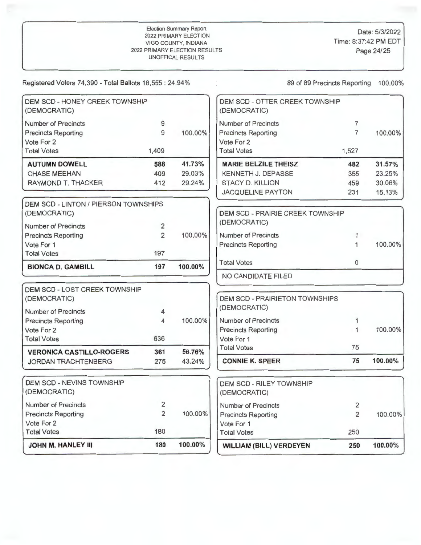| <b>JOHN M. HANLEY III</b>                                | 180            | 100.00% | <b>WILLIAM (BILL) VERDEYEN</b>                  | 250            | 100.00% |
|----------------------------------------------------------|----------------|---------|-------------------------------------------------|----------------|---------|
| <b>Total Votes</b>                                       | 180            |         | <b>Total Votes</b>                              | 250            |         |
| Vote For 2                                               |                |         | Vote For 1                                      |                |         |
| <b>Precincts Reporting</b>                               | $\overline{2}$ | 100.00% | <b>Precincts Reporting</b>                      | $\overline{2}$ | 100.00% |
| <b>Number of Precincts</b>                               | $\overline{2}$ |         | <b>Number of Precincts</b>                      | 2              |         |
| <b>DEM SCD - NEVINS TOWNSHIP</b><br>(DEMOCRATIC)         |                |         | <b>DEM SCD - RILEY TOWNSHIP</b><br>(DEMOCRATIC) |                |         |
| JORDAN TRACHTENBERG                                      | 275            | 43.24%  | <b>CONNIE K. SPEER</b>                          | 75             | 100.00% |
| <b>VERONICA CASTILLO-ROGERS</b>                          | 361            | 56.76%  | <b>Total Votes</b>                              | 75             |         |
| <b>Total Votes</b>                                       | 636            |         | Vote For 1                                      |                |         |
| Vote For 2                                               |                |         | <b>Precincts Reporting</b>                      | $\mathbf{1}$   | 100.00% |
| <b>Number of Precincts</b><br><b>Precincts Reporting</b> | 4<br>4         | 100.00% | (DEMOCRATIC)<br><b>Number of Precincts</b>      | 1              |         |
| DEM SCD - LOST CREEK TOWNSHIP<br>(DEMOCRATIC)            |                |         | <b>DEM SCD - PRAIRIETON TOWNSHIPS</b>           |                |         |
|                                                          |                |         | NO CANDIDATE FILED                              |                |         |
| <b>BIONCA D. GAMBILL</b>                                 | 197            | 100.00% | $\mathbf{0}$<br><b>Total Votes</b>              |                |         |
| Vote For 1<br><b>Total Votes</b>                         | 197            |         | <b>Precincts Reporting</b>                      | 1              | 100.00% |
| <b>Precincts Reporting</b>                               | $\overline{2}$ | 100.00% | <b>Number of Precincts</b>                      | 1              |         |
| <b>Number of Precincts</b>                               | $\overline{2}$ |         | (DEMOCRATIC)                                    |                |         |
| DEM SCD - LINTON / PIERSON TOWNSHIPS<br>(DEMOCRATIC)     |                |         | <b>DEM SCD - PRAIRIE CREEK TOWNSHIP</b>         |                |         |
|                                                          |                |         | <b>JACQUELINE PAYTON</b>                        | 231            | 15.13%  |
| <b>RAYMOND T. THACKER</b>                                | 412            | 29.24%  | <b>STACY D. KILLION</b>                         | 459            | 30.06%  |
| <b>CHASE MEEHAN</b>                                      | 409            | 29.03%  | KENNETH J. DEPASSE                              | 355            | 23.25%  |
| <b>AUTUMN DOWELL</b>                                     | 588            | 41.73%  | <b>MARIE BELZILE THEISZ</b>                     | 482            | 31.57%  |
| <b>Total Votes</b>                                       | 1,409          |         | <b>Total Votes</b>                              | 1,527          |         |
| Vote For 2                                               |                |         | Vote For 2                                      |                |         |
| <b>Precincts Reporting</b>                               | 9              | 100.00% | <b>Precincts Reporting</b>                      | $\overline{7}$ | 100.00% |
| <b>Number of Precincts</b>                               | 9              |         | Number of Precincts                             | $\overline{7}$ |         |
| <b>DEM SCD - HONEY CREEK TOWNSHIP</b><br>(DEMOCRATIC)    |                |         | DEM SCD - OTTER CREEK TOWNSHIP<br>(DEMOCRATIC)  |                |         |